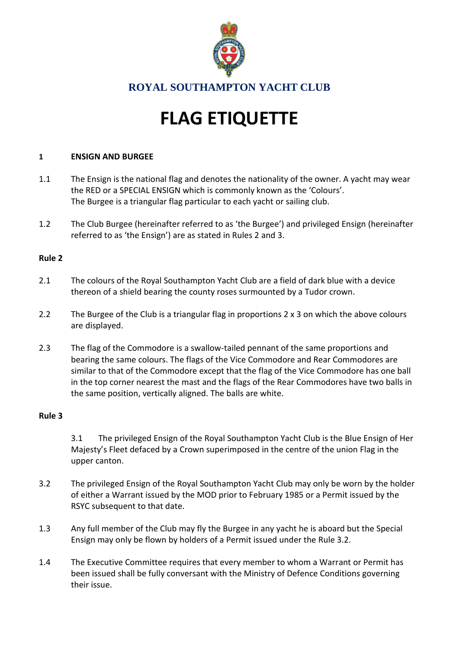

# **FLAG ETIQUETTE**

## **1 ENSIGN AND BURGEE**

- 1.1 The Ensign is the national flag and denotes the nationality of the owner. A yacht may wear the RED or a SPECIAL ENSIGN which is commonly known as the 'Colours'. The Burgee is a triangular flag particular to each yacht or sailing club.
- 1.2 The Club Burgee (hereinafter referred to as 'the Burgee') and privileged Ensign (hereinafter referred to as 'the Ensign') are as stated in Rules 2 and 3.

## **Rule 2**

- 2.1 The colours of the Royal Southampton Yacht Club are a field of dark blue with a device thereon of a shield bearing the county roses surmounted by a Tudor crown.
- 2.2 The Burgee of the Club is a triangular flag in proportions 2 x 3 on which the above colours are displayed.
- 2.3 The flag of the Commodore is a swallow-tailed pennant of the same proportions and bearing the same colours. The flags of the Vice Commodore and Rear Commodores are similar to that of the Commodore except that the flag of the Vice Commodore has one ball in the top corner nearest the mast and the flags of the Rear Commodores have two balls in the same position, vertically aligned. The balls are white.

### **Rule 3**

3.1 The privileged Ensign of the Royal Southampton Yacht Club is the Blue Ensign of Her Majesty's Fleet defaced by a Crown superimposed in the centre of the union Flag in the upper canton.

- 3.2 The privileged Ensign of the Royal Southampton Yacht Club may only be worn by the holder of either a Warrant issued by the MOD prior to February 1985 or a Permit issued by the RSYC subsequent to that date.
- 1.3 Any full member of the Club may fly the Burgee in any yacht he is aboard but the Special Ensign may only be flown by holders of a Permit issued under the Rule 3.2.
- 1.4 The Executive Committee requires that every member to whom a Warrant or Permit has been issued shall be fully conversant with the Ministry of Defence Conditions governing their issue.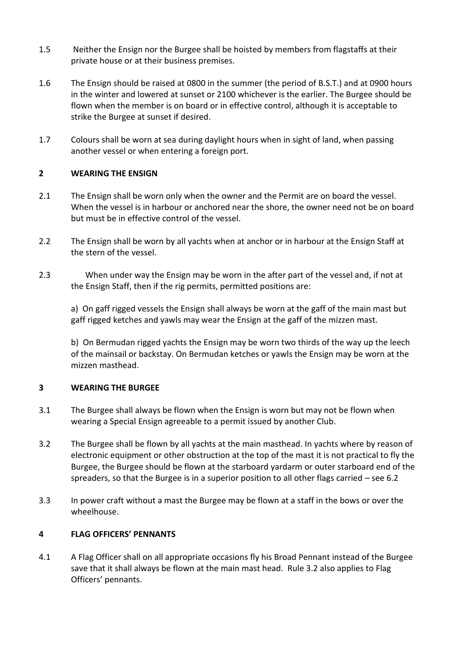- 1.5 Neither the Ensign nor the Burgee shall be hoisted by members from flagstaffs at their private house or at their business premises.
- 1.6 The Ensign should be raised at 0800 in the summer (the period of B.S.T.) and at 0900 hours in the winter and lowered at sunset or 2100 whichever is the earlier. The Burgee should be flown when the member is on board or in effective control, although it is acceptable to strike the Burgee at sunset if desired.
- 1.7 Colours shall be worn at sea during daylight hours when in sight of land, when passing another vessel or when entering a foreign port.

## **2 WEARING THE ENSIGN**

- 2.1 The Ensign shall be worn only when the owner and the Permit are on board the vessel. When the vessel is in harbour or anchored near the shore, the owner need not be on board but must be in effective control of the vessel.
- 2.2 The Ensign shall be worn by all yachts when at anchor or in harbour at the Ensign Staff at the stern of the vessel.
- 2.3 When under way the Ensign may be worn in the after part of the vessel and, if not at the Ensign Staff, then if the rig permits, permitted positions are:

a) On gaff rigged vessels the Ensign shall always be worn at the gaff of the main mast but gaff rigged ketches and yawls may wear the Ensign at the gaff of the mizzen mast.

b) On Bermudan rigged yachts the Ensign may be worn two thirds of the way up the leech of the mainsail or backstay. On Bermudan ketches or yawls the Ensign may be worn at the mizzen masthead.

### **3 WEARING THE BURGEE**

- 3.1 The Burgee shall always be flown when the Ensign is worn but may not be flown when wearing a Special Ensign agreeable to a permit issued by another Club.
- 3.2 The Burgee shall be flown by all yachts at the main masthead. In yachts where by reason of electronic equipment or other obstruction at the top of the mast it is not practical to fly the Burgee, the Burgee should be flown at the starboard yardarm or outer starboard end of the spreaders, so that the Burgee is in a superior position to all other flags carried – see 6.2
- 3.3 In power craft without a mast the Burgee may be flown at a staff in the bows or over the wheelhouse.

### **4 FLAG OFFICERS' PENNANTS**

4.1 A Flag Officer shall on all appropriate occasions fly his Broad Pennant instead of the Burgee save that it shall always be flown at the main mast head. Rule 3.2 also applies to Flag Officers' pennants.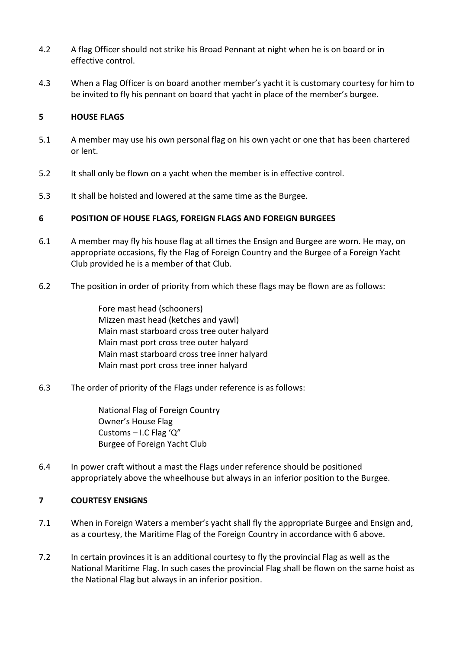- 4.2 A flag Officer should not strike his Broad Pennant at night when he is on board or in effective control.
- 4.3 When a Flag Officer is on board another member's yacht it is customary courtesy for him to be invited to fly his pennant on board that yacht in place of the member's burgee.

## **5 HOUSE FLAGS**

- 5.1 A member may use his own personal flag on his own yacht or one that has been chartered or lent.
- 5.2 It shall only be flown on a yacht when the member is in effective control.
- 5.3 It shall be hoisted and lowered at the same time as the Burgee.

## **6 POSITION OF HOUSE FLAGS, FOREIGN FLAGS AND FOREIGN BURGEES**

- 6.1 A member may fly his house flag at all times the Ensign and Burgee are worn. He may, on appropriate occasions, fly the Flag of Foreign Country and the Burgee of a Foreign Yacht Club provided he is a member of that Club.
- 6.2 The position in order of priority from which these flags may be flown are as follows:

Fore mast head (schooners) Mizzen mast head (ketches and yawl) Main mast starboard cross tree outer halyard Main mast port cross tree outer halyard Main mast starboard cross tree inner halyard Main mast port cross tree inner halyard

6.3 The order of priority of the Flags under reference is as follows:

National Flag of Foreign Country Owner's House Flag Customs – I.C Flag 'Q" Burgee of Foreign Yacht Club

6.4 In power craft without a mast the Flags under reference should be positioned appropriately above the wheelhouse but always in an inferior position to the Burgee.

## **7 COURTESY ENSIGNS**

- 7.1 When in Foreign Waters a member's yacht shall fly the appropriate Burgee and Ensign and, as a courtesy, the Maritime Flag of the Foreign Country in accordance with 6 above.
- 7.2 In certain provinces it is an additional courtesy to fly the provincial Flag as well as the National Maritime Flag. In such cases the provincial Flag shall be flown on the same hoist as the National Flag but always in an inferior position.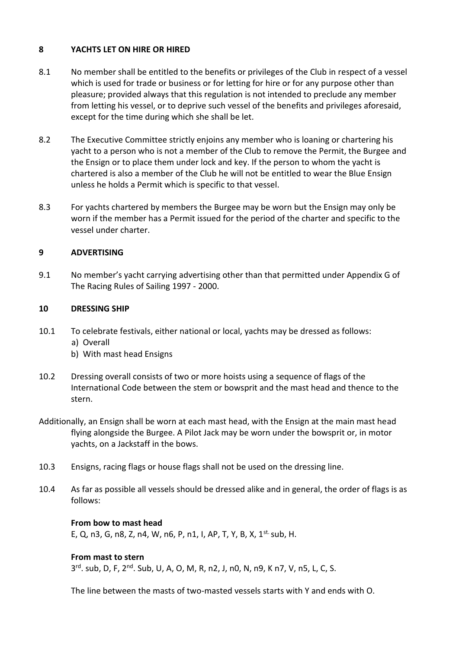## **8 YACHTS LET ON HIRE OR HIRED**

- 8.1 No member shall be entitled to the benefits or privileges of the Club in respect of a vessel which is used for trade or business or for letting for hire or for any purpose other than pleasure; provided always that this regulation is not intended to preclude any member from letting his vessel, or to deprive such vessel of the benefits and privileges aforesaid, except for the time during which she shall be let.
- 8.2 The Executive Committee strictly enjoins any member who is loaning or chartering his yacht to a person who is not a member of the Club to remove the Permit, the Burgee and the Ensign or to place them under lock and key. If the person to whom the yacht is chartered is also a member of the Club he will not be entitled to wear the Blue Ensign unless he holds a Permit which is specific to that vessel.
- 8.3 For yachts chartered by members the Burgee may be worn but the Ensign may only be worn if the member has a Permit issued for the period of the charter and specific to the vessel under charter.

## **9 ADVERTISING**

9.1 No member's yacht carrying advertising other than that permitted under Appendix G of The Racing Rules of Sailing 1997 - 2000.

## **10 DRESSING SHIP**

- 10.1 To celebrate festivals, either national or local, yachts may be dressed as follows: a) Overall
	- b) With mast head Ensigns
- 10.2 Dressing overall consists of two or more hoists using a sequence of flags of the International Code between the stem or bowsprit and the mast head and thence to the stern.
- Additionally, an Ensign shall be worn at each mast head, with the Ensign at the main mast head flying alongside the Burgee. A Pilot Jack may be worn under the bowsprit or, in motor yachts, on a Jackstaff in the bows.
- 10.3 Ensigns, racing flags or house flags shall not be used on the dressing line.
- 10.4 As far as possible all vessels should be dressed alike and in general, the order of flags is as follows:

### **From bow to mast head**

E, Q, n3, G, n8, Z, n4, W, n6, P, n1, I, AP, T, Y, B, X, 1st. sub, H.

#### **From mast to stern**

3<sup>rd</sup>. sub, D, F, 2<sup>nd</sup>. Sub, U, A, O, M, R, n2, J, n0, N, n9, K n7, V, n5, L, C, S.

The line between the masts of two-masted vessels starts with Y and ends with O.